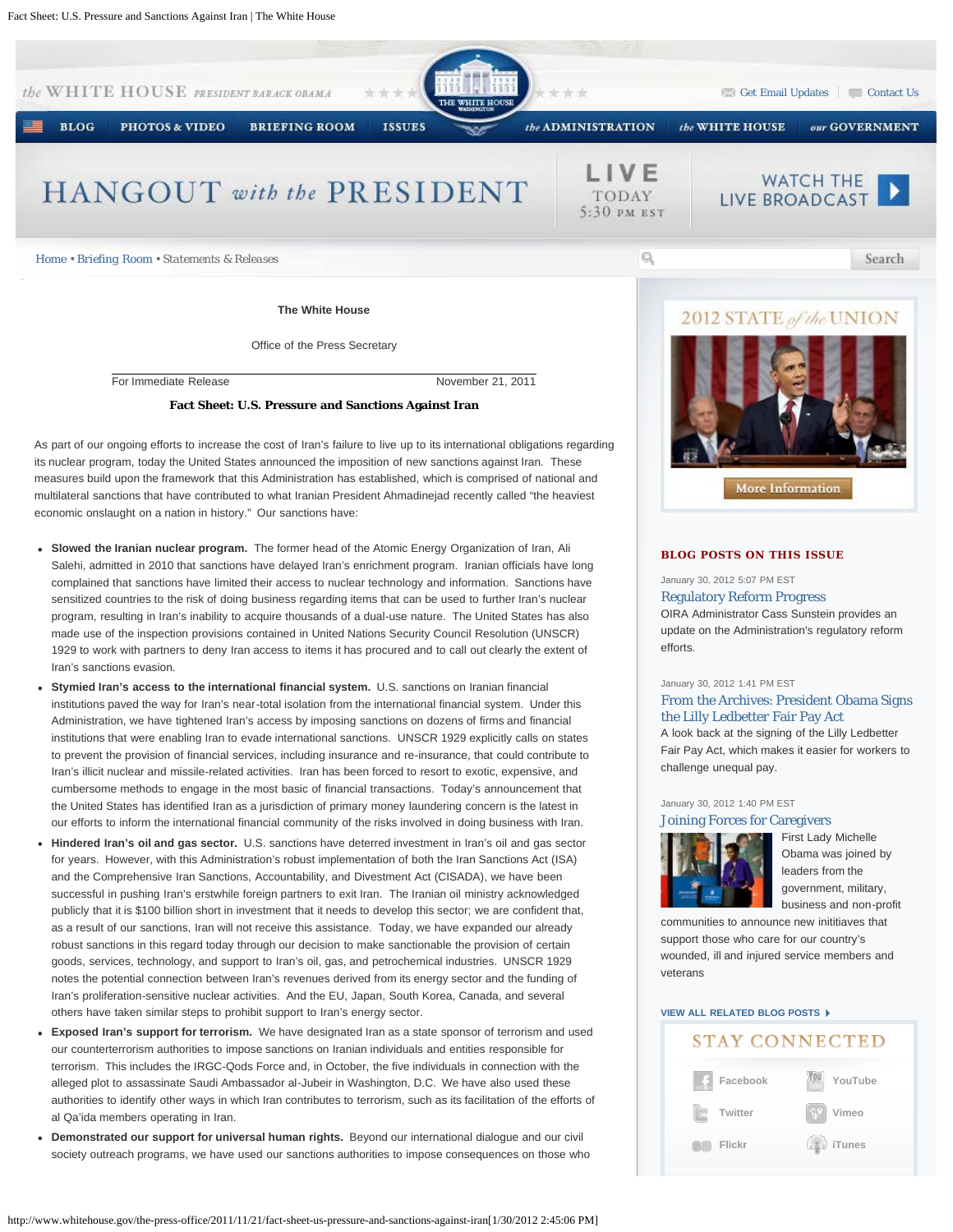

More Information

### **BLOG POSTS ON THIS ISSUE**

January 30, 2012 5:07 PM EST

### [Regulatory Reform Progress](http://www.whitehouse.gov/blog/2012/01/30/regulatory-reform-progress)

OIRA Administrator Cass Sunstein provides an update on the Administration's regulatory reform efforts.

#### January 30, 2012 1:41 PM EST

[From the Archives: President Obama Signs](http://www.whitehouse.gov/blog/2012/01/30/archives-president-obama-signs-lilly-ledbetter-fair-pay-act) [the Lilly Ledbetter Fair Pay Act](http://www.whitehouse.gov/blog/2012/01/30/archives-president-obama-signs-lilly-ledbetter-fair-pay-act)

A look back at the signing of the Lilly Ledbetter Fair Pay Act, which makes it easier for workers to challenge unequal pay.

## January 30, 2012 1:40 PM EST

[Joining Forces for Caregivers](http://www.whitehouse.gov/blog/2012/01/30/joining-forces-caregivers)



[F](http://www.whitehouse.gov/blog/2012/01/30/joining-forces-caregivers)irst Lady Michelle Obama was joined by leaders from the government, military, business and non-profit

communities to announce new inititiaves that support those who care for our country's wounded, ill and injured service members and veterans

## **[VIEW ALL RELATED BLOG POSTS](http://www.whitehouse.gov/blog/issues/white-house)**

# **STAY CONNECTED**



its nuclear program, today the United States announced the imposition of new sanctions against Iran. These measures build upon the framework that this Administration has established, which is comprised of national and multilateral sanctions that have contributed to what Iranian President Ahmadinejad recently called "the heaviest economic onslaught on a nation in history." Our sanctions have:

- **Slowed the Iranian nuclear program.** The former head of the Atomic Energy Organization of Iran, Ali Salehi, admitted in 2010 that sanctions have delayed Iran's enrichment program. Iranian officials have long complained that sanctions have limited their access to nuclear technology and information. Sanctions have sensitized countries to the risk of doing business regarding items that can be used to further Iran's nuclear program, resulting in Iran's inability to acquire thousands of a dual-use nature. The United States has also made use of the inspection provisions contained in United Nations Security Council Resolution (UNSCR) 1929 to work with partners to deny Iran access to items it has procured and to call out clearly the extent of Iran's sanctions evasion.
- **Stymied Iran's access to the international financial system.** U.S. sanctions on Iranian financial  $\bullet$ institutions paved the way for Iran's near-total isolation from the international financial system. Under this Administration, we have tightened Iran's access by imposing sanctions on dozens of firms and financial institutions that were enabling Iran to evade international sanctions. UNSCR 1929 explicitly calls on states to prevent the provision of financial services, including insurance and re-insurance, that could contribute to Iran's illicit nuclear and missile-related activities. Iran has been forced to resort to exotic, expensive, and cumbersome methods to engage in the most basic of financial transactions. Today's announcement that the United States has identified Iran as a jurisdiction of primary money laundering concern is the latest in our efforts to inform the international financial community of the risks involved in doing business with Iran.
- **Hindered Iran's oil and gas sector.** U.S. sanctions have deterred investment in Iran's oil and gas sector for years. However, with this Administration's robust implementation of both the Iran Sanctions Act (ISA) and the Comprehensive Iran Sanctions, Accountability, and Divestment Act (CISADA), we have been successful in pushing Iran's erstwhile foreign partners to exit Iran. The Iranian oil ministry acknowledged publicly that it is \$100 billion short in investment that it needs to develop this sector; we are confident that, as a result of our sanctions, Iran will not receive this assistance. Today, we have expanded our already robust sanctions in this regard today through our decision to make sanctionable the provision of certain goods, services, technology, and support to Iran's oil, gas, and petrochemical industries. UNSCR 1929 notes the potential connection between Iran's revenues derived from its energy sector and the funding of Iran's proliferation-sensitive nuclear activities. And the EU, Japan, South Korea, Canada, and several others have taken similar steps to prohibit support to Iran's energy sector.
- **Exposed Iran's support for terrorism.** We have designated Iran as a state sponsor of terrorism and used our counterterrorism authorities to impose sanctions on Iranian individuals and entities responsible for terrorism. This includes the IRGC-Qods Force and, in October, the five individuals in connection with the alleged plot to assassinate Saudi Ambassador al-Jubeir in Washington, D.C. We have also used these authorities to identify other ways in which Iran contributes to terrorism, such as its facilitation of the efforts of al Qa'ida members operating in Iran.
- **Demonstrated our support for universal human rights.** Beyond our international dialogue and our civil society outreach programs, we have used our sanctions authorities to impose consequences on those who